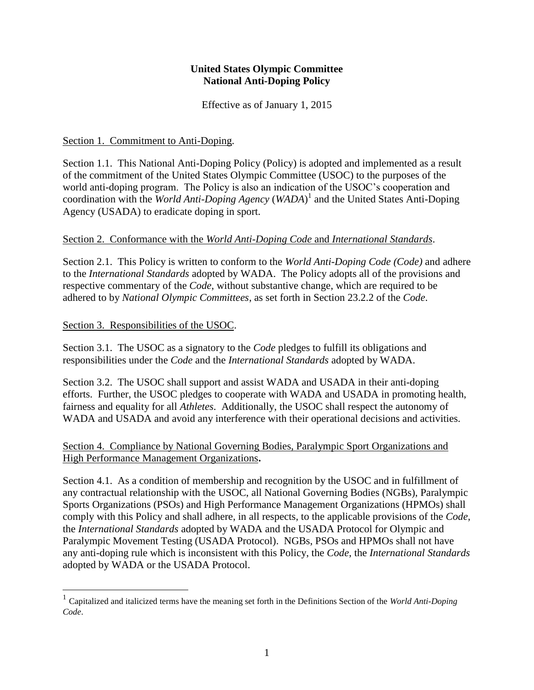## **United States Olympic Committee National Anti-Doping Policy**

Effective as of January 1, 2015

## Section 1. Commitment to Anti-Doping.

Section 1.1. This National Anti-Doping Policy (Policy) is adopted and implemented as a result of the commitment of the United States Olympic Committee (USOC) to the purposes of the world anti-doping program. The Policy is also an indication of the USOC's cooperation and coordination with the *World Anti-Doping Agency* (*WADA*) 1 and the United States Anti-Doping Agency (USADA) to eradicate doping in sport.

## Section 2. Conformance with the *World Anti-Doping Code* and *International Standards*.

Section 2.1. This Policy is written to conform to the *World Anti-Doping Code (Code)* and adhere to the *International Standards* adopted by WADA. The Policy adopts all of the provisions and respective commentary of the *Code*, without substantive change, which are required to be adhered to by *National Olympic Committees*, as set forth in Section 23.2.2 of the *Code*.

## Section 3. Responsibilities of the USOC.

Section 3.1. The USOC as a signatory to the *Code* pledges to fulfill its obligations and responsibilities under the *Code* and the *International Standards* adopted by WADA.

Section 3.2. The USOC shall support and assist WADA and USADA in their anti-doping efforts. Further, the USOC pledges to cooperate with WADA and USADA in promoting health, fairness and equality for all *Athletes*. Additionally, the USOC shall respect the autonomy of WADA and USADA and avoid any interference with their operational decisions and activities.

## Section 4. Compliance by National Governing Bodies, Paralympic Sport Organizations and High Performance Management Organizations**.**

Section 4.1. As a condition of membership and recognition by the USOC and in fulfillment of any contractual relationship with the USOC, all National Governing Bodies (NGBs), Paralympic Sports Organizations (PSOs) and High Performance Management Organizations (HPMOs) shall comply with this Policy and shall adhere, in all respects, to the applicable provisions of the *Code*, the *International Standards* adopted by WADA and the USADA Protocol for Olympic and Paralympic Movement Testing (USADA Protocol). NGBs, PSOs and HPMOs shall not have any anti-doping rule which is inconsistent with this Policy, the *Code*, the *International Standards* adopted by WADA or the USADA Protocol.

 1 Capitalized and italicized terms have the meaning set forth in the Definitions Section of the *World Anti-Doping Code*.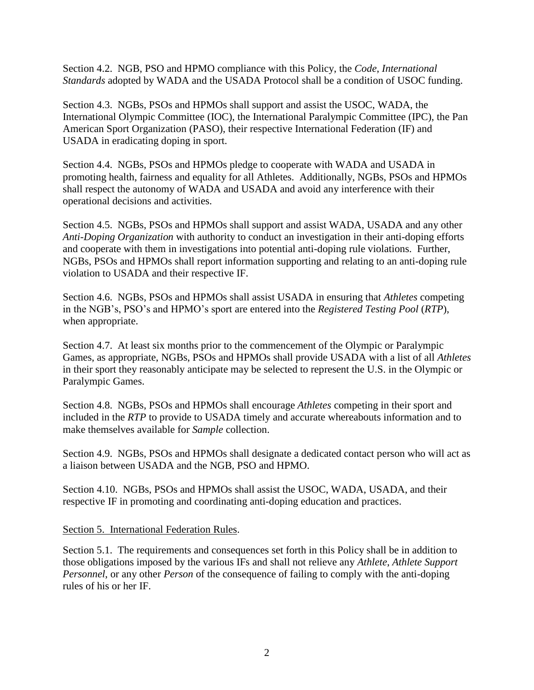Section 4.2. NGB, PSO and HPMO compliance with this Policy, the *Code*, *International Standards* adopted by WADA and the USADA Protocol shall be a condition of USOC funding.

Section 4.3. NGBs, PSOs and HPMOs shall support and assist the USOC, WADA, the International Olympic Committee (IOC), the International Paralympic Committee (IPC), the Pan American Sport Organization (PASO), their respective International Federation (IF) and USADA in eradicating doping in sport.

Section 4.4. NGBs, PSOs and HPMOs pledge to cooperate with WADA and USADA in promoting health, fairness and equality for all Athletes. Additionally, NGBs, PSOs and HPMOs shall respect the autonomy of WADA and USADA and avoid any interference with their operational decisions and activities.

Section 4.5. NGBs, PSOs and HPMOs shall support and assist WADA, USADA and any other *Anti-Doping Organization* with authority to conduct an investigation in their anti-doping efforts and cooperate with them in investigations into potential anti-doping rule violations. Further, NGBs, PSOs and HPMOs shall report information supporting and relating to an anti-doping rule violation to USADA and their respective IF.

Section 4.6. NGBs, PSOs and HPMOs shall assist USADA in ensuring that *Athletes* competing in the NGB's, PSO's and HPMO's sport are entered into the *Registered Testing Pool* (*RTP*), when appropriate.

Section 4.7. At least six months prior to the commencement of the Olympic or Paralympic Games, as appropriate, NGBs, PSOs and HPMOs shall provide USADA with a list of all *Athletes* in their sport they reasonably anticipate may be selected to represent the U.S. in the Olympic or Paralympic Games.

Section 4.8. NGBs, PSOs and HPMOs shall encourage *Athletes* competing in their sport and included in the *RTP* to provide to USADA timely and accurate whereabouts information and to make themselves available for *Sample* collection.

Section 4.9. NGBs, PSOs and HPMOs shall designate a dedicated contact person who will act as a liaison between USADA and the NGB, PSO and HPMO.

Section 4.10. NGBs, PSOs and HPMOs shall assist the USOC, WADA, USADA, and their respective IF in promoting and coordinating anti-doping education and practices.

#### Section 5. International Federation Rules.

Section 5.1. The requirements and consequences set forth in this Policy shall be in addition to those obligations imposed by the various IFs and shall not relieve any *Athlete*, *Athlete Support Personnel*, or any other *Person* of the consequence of failing to comply with the anti-doping rules of his or her IF.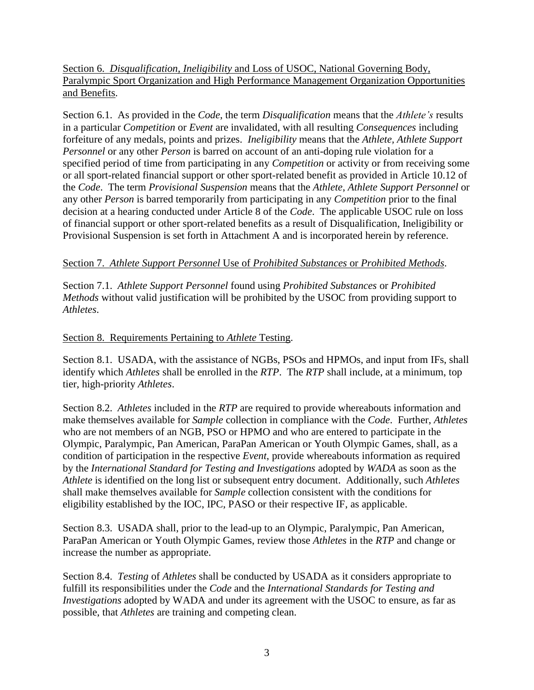Section 6. *Disqualification*, *Ineligibility* and Loss of USOC, National Governing Body, Paralympic Sport Organization and High Performance Management Organization Opportunities and Benefits.

Section 6.1. As provided in the *Code*, the term *Disqualification* means that the *Athlete's* results in a particular *Competition* or *Event* are invalidated, with all resulting *Consequences* including forfeiture of any medals, points and prizes. *Ineligibility* means that the *Athlete, Athlete Support Personnel* or any other *Person* is barred on account of an anti-doping rule violation for a specified period of time from participating in any *Competition* or activity or from receiving some or all sport-related financial support or other sport-related benefit as provided in Article 10.12 of the *Code*. The term *Provisional Suspension* means that the *Athlete*, *Athlete Support Personnel* or any other *Person* is barred temporarily from participating in any *Competition* prior to the final decision at a hearing conducted under Article 8 of the *Code*. The applicable USOC rule on loss of financial support or other sport-related benefits as a result of Disqualification, Ineligibility or Provisional Suspension is set forth in Attachment A and is incorporated herein by reference.

# Section 7. *Athlete Support Personnel* Use of *Prohibited Substances* or *Prohibited Methods*.

Section 7.1. *Athlete Support Personnel* found using *Prohibited Substances* or *Prohibited Methods* without valid justification will be prohibited by the USOC from providing support to *Athletes*.

# Section 8. Requirements Pertaining to *Athlete* Testing.

Section 8.1. USADA, with the assistance of NGBs, PSOs and HPMOs, and input from IFs, shall identify which *Athletes* shall be enrolled in the *RTP*. The *RTP* shall include, at a minimum, top tier, high-priority *Athletes*.

Section 8.2. *Athletes* included in the *RTP* are required to provide whereabouts information and make themselves available for *Sample* collection in compliance with the *Code*. Further, *Athletes* who are not members of an NGB, PSO or HPMO and who are entered to participate in the Olympic, Paralympic, Pan American, ParaPan American or Youth Olympic Games, shall, as a condition of participation in the respective *Event*, provide whereabouts information as required by the *International Standard for Testing and Investigations* adopted by *WADA* as soon as the *Athlete* is identified on the long list or subsequent entry document. Additionally, such *Athletes*  shall make themselves available for *Sample* collection consistent with the conditions for eligibility established by the IOC, IPC, PASO or their respective IF, as applicable.

Section 8.3. USADA shall, prior to the lead-up to an Olympic, Paralympic, Pan American, ParaPan American or Youth Olympic Games, review those *Athletes* in the *RTP* and change or increase the number as appropriate.

Section 8.4. *Testing* of *Athletes* shall be conducted by USADA as it considers appropriate to fulfill its responsibilities under the *Code* and the *International Standards for Testing and Investigations* adopted by WADA and under its agreement with the USOC to ensure, as far as possible, that *Athletes* are training and competing clean.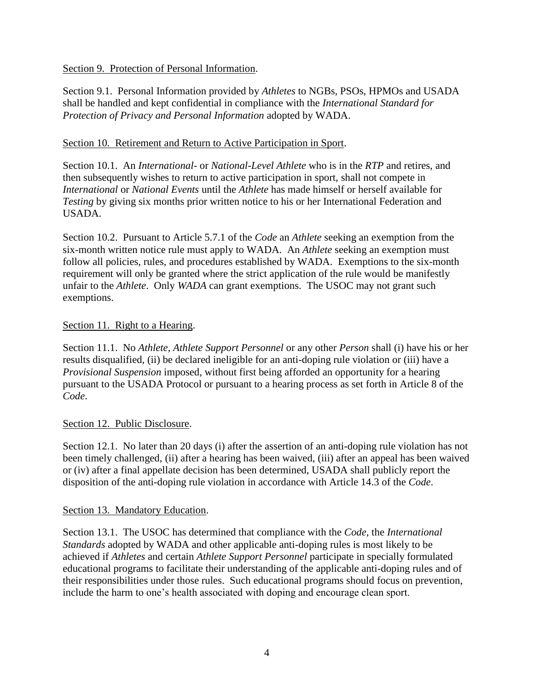Section 9. Protection of Personal Information.

Section 9.1. Personal Information provided by *Athletes* to NGBs, PSOs, HPMOs and USADA shall be handled and kept confidential in compliance with the *International Standard for Protection of Privacy and Personal Information* adopted by WADA.

## Section 10. Retirement and Return to Active Participation in Sport.

Section 10.1. An *International-* or *National-Level Athlete* who is in the *RTP* and retires, and then subsequently wishes to return to active participation in sport, shall not compete in *International* or *National Events* until the *Athlete* has made himself or herself available for *Testing* by giving six months prior written notice to his or her International Federation and USADA.

Section 10.2. Pursuant to Article 5.7.1 of the *Code* an *Athlete* seeking an exemption from the six-month written notice rule must apply to WADA. An *Athlete* seeking an exemption must follow all policies, rules, and procedures established by WADA. Exemptions to the six-month requirement will only be granted where the strict application of the rule would be manifestly unfair to the *Athlete*. Only *WADA* can grant exemptions. The USOC may not grant such exemptions.

## Section 11. Right to a Hearing.

Section 11.1. No *Athlete*, *Athlete Support Personnel* or any other *Person* shall (i) have his or her results disqualified, (ii) be declared ineligible for an anti-doping rule violation or (iii) have a *Provisional Suspension* imposed, without first being afforded an opportunity for a hearing pursuant to the USADA Protocol or pursuant to a hearing process as set forth in Article 8 of the *Code*.

## Section 12. Public Disclosure.

Section 12.1. No later than 20 days (i) after the assertion of an anti-doping rule violation has not been timely challenged, (ii) after a hearing has been waived, (iii) after an appeal has been waived or (iv) after a final appellate decision has been determined, USADA shall publicly report the disposition of the anti-doping rule violation in accordance with Article 14.3 of the *Code*.

## Section 13. Mandatory Education.

Section 13.1. The USOC has determined that compliance with the *Code*, the *International Standards* adopted by WADA and other applicable anti-doping rules is most likely to be achieved if *Athletes* and certain *Athlete Support Personnel* participate in specially formulated educational programs to facilitate their understanding of the applicable anti-doping rules and of their responsibilities under those rules. Such educational programs should focus on prevention, include the harm to one's health associated with doping and encourage clean sport.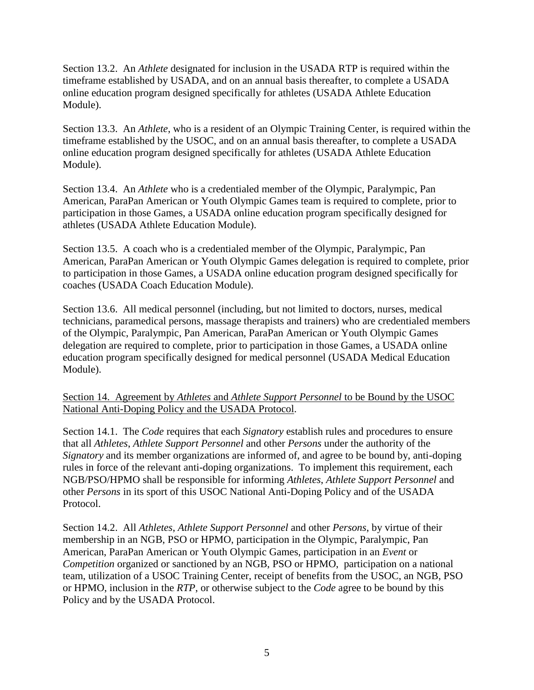Section 13.2. An *Athlete* designated for inclusion in the USADA RTP is required within the timeframe established by USADA, and on an annual basis thereafter, to complete a USADA online education program designed specifically for athletes (USADA Athlete Education Module).

Section 13.3. An *Athlete*, who is a resident of an Olympic Training Center, is required within the timeframe established by the USOC, and on an annual basis thereafter, to complete a USADA online education program designed specifically for athletes (USADA Athlete Education Module).

Section 13.4. An *Athlete* who is a credentialed member of the Olympic, Paralympic, Pan American, ParaPan American or Youth Olympic Games team is required to complete, prior to participation in those Games, a USADA online education program specifically designed for athletes (USADA Athlete Education Module).

Section 13.5. A coach who is a credentialed member of the Olympic, Paralympic, Pan American, ParaPan American or Youth Olympic Games delegation is required to complete, prior to participation in those Games, a USADA online education program designed specifically for coaches (USADA Coach Education Module).

Section 13.6. All medical personnel (including, but not limited to doctors, nurses, medical technicians, paramedical persons, massage therapists and trainers) who are credentialed members of the Olympic, Paralympic, Pan American, ParaPan American or Youth Olympic Games delegation are required to complete, prior to participation in those Games, a USADA online education program specifically designed for medical personnel (USADA Medical Education Module).

## Section 14. Agreement by *Athletes* and *Athlete Support Personnel* to be Bound by the USOC National Anti-Doping Policy and the USADA Protocol.

Section 14.1. The *Code* requires that each *Signatory* establish rules and procedures to ensure that all *Athletes*, *Athlete Support Personnel* and other *Persons* under the authority of the *Signatory* and its member organizations are informed of, and agree to be bound by, anti-doping rules in force of the relevant anti-doping organizations. To implement this requirement, each NGB/PSO/HPMO shall be responsible for informing *Athletes*, *Athlete Support Personnel* and other *Persons* in its sport of this USOC National Anti-Doping Policy and of the USADA Protocol.

Section 14.2. All *Athletes*, *Athlete Support Personnel* and other *Persons*, by virtue of their membership in an NGB, PSO or HPMO, participation in the Olympic, Paralympic, Pan American, ParaPan American or Youth Olympic Games, participation in an *Event* or *Competition* organized or sanctioned by an NGB, PSO or HPMO, participation on a national team, utilization of a USOC Training Center, receipt of benefits from the USOC, an NGB, PSO or HPMO, inclusion in the *RTP*, or otherwise subject to the *Code* agree to be bound by this Policy and by the USADA Protocol.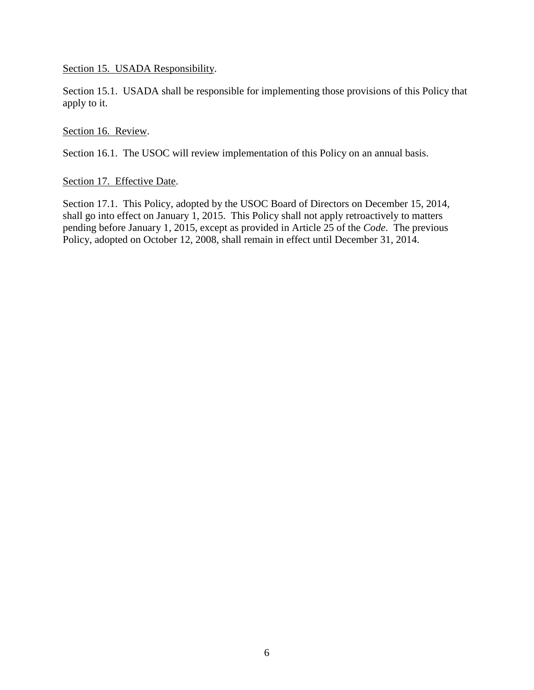Section 15. USADA Responsibility.

Section 15.1. USADA shall be responsible for implementing those provisions of this Policy that apply to it.

Section 16. Review.

Section 16.1. The USOC will review implementation of this Policy on an annual basis.

## Section 17. Effective Date.

Section 17.1. This Policy, adopted by the USOC Board of Directors on December 15, 2014, shall go into effect on January 1, 2015. This Policy shall not apply retroactively to matters pending before January 1, 2015, except as provided in Article 25 of the *Code*. The previous Policy, adopted on October 12, 2008, shall remain in effect until December 31, 2014.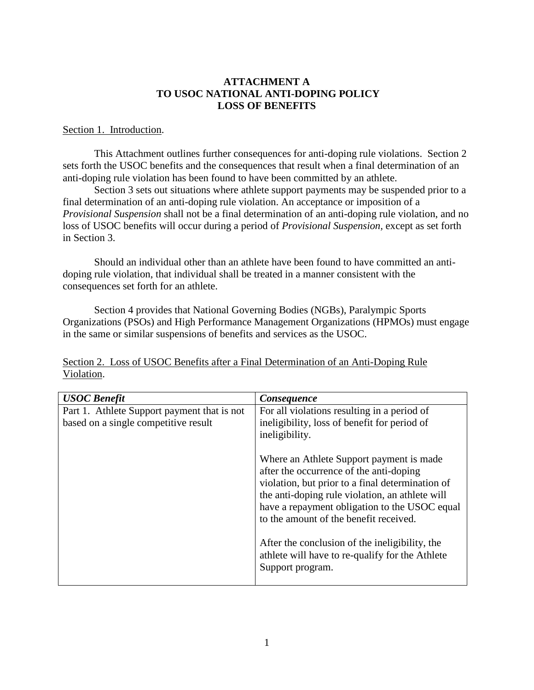## **ATTACHMENT A TO USOC NATIONAL ANTI-DOPING POLICY LOSS OF BENEFITS**

#### Section 1. Introduction.

This Attachment outlines further consequences for anti-doping rule violations. Section 2 sets forth the USOC benefits and the consequences that result when a final determination of an anti-doping rule violation has been found to have been committed by an athlete.

Section 3 sets out situations where athlete support payments may be suspended prior to a final determination of an anti-doping rule violation. An acceptance or imposition of a *Provisional Suspension* shall not be a final determination of an anti-doping rule violation, and no loss of USOC benefits will occur during a period of *Provisional Suspension,* except as set forth in Section 3.

Should an individual other than an athlete have been found to have committed an antidoping rule violation, that individual shall be treated in a manner consistent with the consequences set forth for an athlete.

Section 4 provides that National Governing Bodies (NGBs), Paralympic Sports Organizations (PSOs) and High Performance Management Organizations (HPMOs) must engage in the same or similar suspensions of benefits and services as the USOC.

| <b>USOC</b> Benefit                         | <b>Consequence</b>                                                                                                                                                                                                                                                                    |
|---------------------------------------------|---------------------------------------------------------------------------------------------------------------------------------------------------------------------------------------------------------------------------------------------------------------------------------------|
| Part 1. Athlete Support payment that is not | For all violations resulting in a period of                                                                                                                                                                                                                                           |
| based on a single competitive result        | ineligibility, loss of benefit for period of<br>ineligibility.                                                                                                                                                                                                                        |
|                                             | Where an Athlete Support payment is made<br>after the occurrence of the anti-doping<br>violation, but prior to a final determination of<br>the anti-doping rule violation, an athlete will<br>have a repayment obligation to the USOC equal<br>to the amount of the benefit received. |
|                                             | After the conclusion of the ineligibility, the<br>athlete will have to re-qualify for the Athlete<br>Support program.                                                                                                                                                                 |

Section 2. Loss of USOC Benefits after a Final Determination of an Anti-Doping Rule Violation.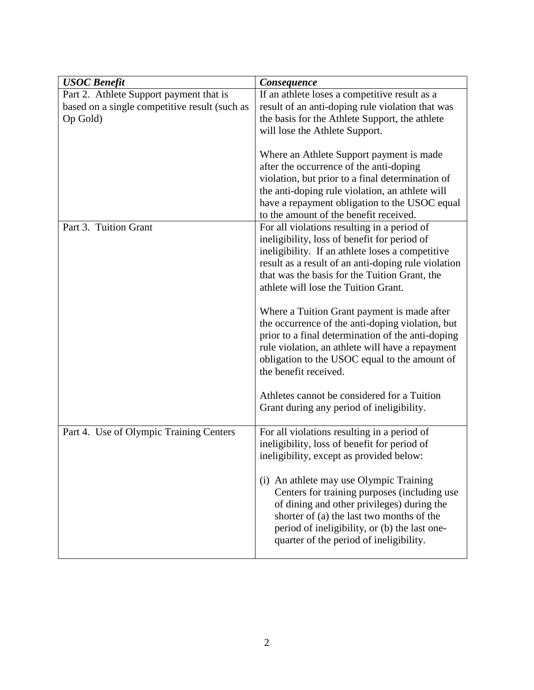| <b>USOC</b> Benefit                                                                                  | Consequence                                                                                                                                                                                                                                                                                     |
|------------------------------------------------------------------------------------------------------|-------------------------------------------------------------------------------------------------------------------------------------------------------------------------------------------------------------------------------------------------------------------------------------------------|
| Part 2. Athlete Support payment that is<br>based on a single competitive result (such as<br>Op Gold) | If an athlete loses a competitive result as a<br>result of an anti-doping rule violation that was<br>the basis for the Athlete Support, the athlete<br>will lose the Athlete Support.                                                                                                           |
|                                                                                                      | Where an Athlete Support payment is made<br>after the occurrence of the anti-doping<br>violation, but prior to a final determination of<br>the anti-doping rule violation, an athlete will<br>have a repayment obligation to the USOC equal<br>to the amount of the benefit received.           |
| Part 3. Tuition Grant                                                                                | For all violations resulting in a period of<br>ineligibility, loss of benefit for period of<br>ineligibility. If an athlete loses a competitive<br>result as a result of an anti-doping rule violation<br>that was the basis for the Tuition Grant, the<br>athlete will lose the Tuition Grant. |
|                                                                                                      | Where a Tuition Grant payment is made after<br>the occurrence of the anti-doping violation, but<br>prior to a final determination of the anti-doping<br>rule violation, an athlete will have a repayment<br>obligation to the USOC equal to the amount of<br>the benefit received.              |
|                                                                                                      | Athletes cannot be considered for a Tuition<br>Grant during any period of ineligibility.                                                                                                                                                                                                        |
| Part 4. Use of Olympic Training Centers                                                              | For all violations resulting in a period of<br>ineligibility, loss of benefit for period of<br>ineligibility, except as provided below:                                                                                                                                                         |
|                                                                                                      | (i) An athlete may use Olympic Training<br>Centers for training purposes (including use<br>of dining and other privileges) during the<br>shorter of (a) the last two months of the<br>period of ineligibility, or (b) the last one-<br>quarter of the period of ineligibility.                  |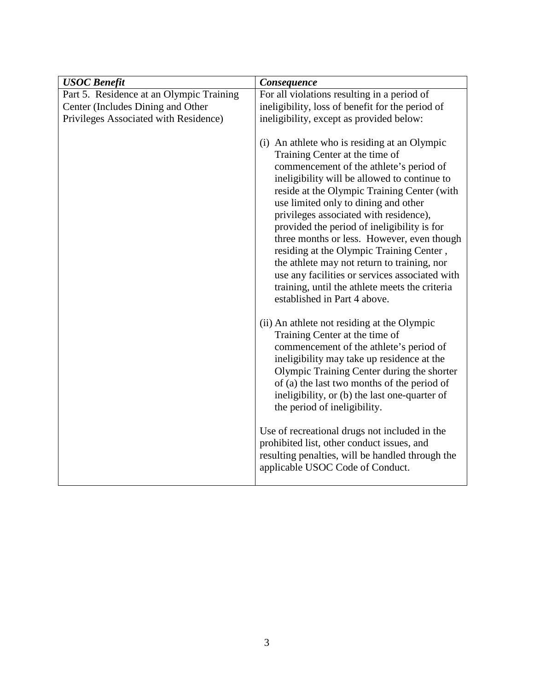| For all violations resulting in a period of                                                                                                                                                                                                                                                                                                                                                                                                                                                                                                                                                                                                                                                                                                                                                                                                                                                                                                                                                                                                                                                                                                                                           |
|---------------------------------------------------------------------------------------------------------------------------------------------------------------------------------------------------------------------------------------------------------------------------------------------------------------------------------------------------------------------------------------------------------------------------------------------------------------------------------------------------------------------------------------------------------------------------------------------------------------------------------------------------------------------------------------------------------------------------------------------------------------------------------------------------------------------------------------------------------------------------------------------------------------------------------------------------------------------------------------------------------------------------------------------------------------------------------------------------------------------------------------------------------------------------------------|
| ineligibility, loss of benefit for the period of                                                                                                                                                                                                                                                                                                                                                                                                                                                                                                                                                                                                                                                                                                                                                                                                                                                                                                                                                                                                                                                                                                                                      |
| ineligibility, except as provided below:                                                                                                                                                                                                                                                                                                                                                                                                                                                                                                                                                                                                                                                                                                                                                                                                                                                                                                                                                                                                                                                                                                                                              |
| (i) An athlete who is residing at an Olympic<br>Training Center at the time of<br>commencement of the athlete's period of<br>ineligibility will be allowed to continue to<br>reside at the Olympic Training Center (with<br>use limited only to dining and other<br>privileges associated with residence),<br>provided the period of ineligibility is for<br>three months or less. However, even though<br>residing at the Olympic Training Center,<br>the athlete may not return to training, nor<br>use any facilities or services associated with<br>training, until the athlete meets the criteria<br>established in Part 4 above.<br>(ii) An athlete not residing at the Olympic<br>Training Center at the time of<br>commencement of the athlete's period of<br>ineligibility may take up residence at the<br>Olympic Training Center during the shorter<br>of (a) the last two months of the period of<br>ineligibility, or (b) the last one-quarter of<br>the period of ineligibility.<br>Use of recreational drugs not included in the<br>prohibited list, other conduct issues, and<br>resulting penalties, will be handled through the<br>applicable USOC Code of Conduct. |
|                                                                                                                                                                                                                                                                                                                                                                                                                                                                                                                                                                                                                                                                                                                                                                                                                                                                                                                                                                                                                                                                                                                                                                                       |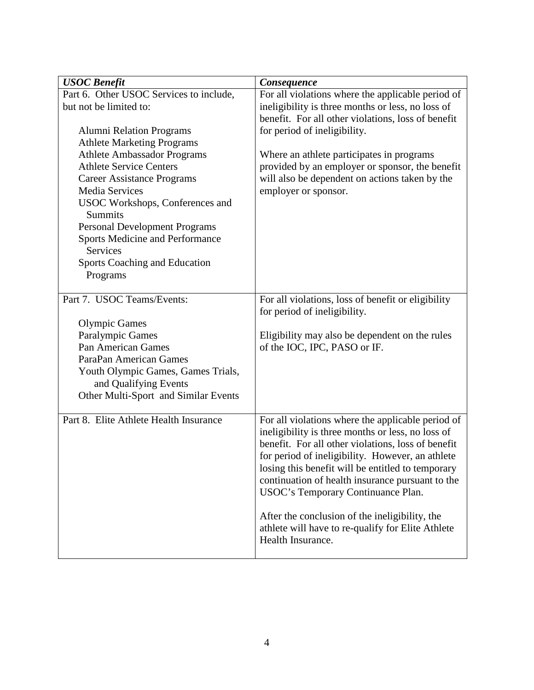| <b>USOC</b> Benefit                     | Consequence                                                                                             |
|-----------------------------------------|---------------------------------------------------------------------------------------------------------|
| Part 6. Other USOC Services to include, | For all violations where the applicable period of                                                       |
| but not be limited to:                  | ineligibility is three months or less, no loss of                                                       |
|                                         | benefit. For all other violations, loss of benefit                                                      |
| <b>Alumni Relation Programs</b>         | for period of ineligibility.                                                                            |
| <b>Athlete Marketing Programs</b>       |                                                                                                         |
| <b>Athlete Ambassador Programs</b>      | Where an athlete participates in programs                                                               |
| <b>Athlete Service Centers</b>          | provided by an employer or sponsor, the benefit                                                         |
| <b>Career Assistance Programs</b>       | will also be dependent on actions taken by the                                                          |
| Media Services                          | employer or sponsor.                                                                                    |
| USOC Workshops, Conferences and         |                                                                                                         |
| <b>Summits</b>                          |                                                                                                         |
| <b>Personal Development Programs</b>    |                                                                                                         |
| Sports Medicine and Performance         |                                                                                                         |
| Services                                |                                                                                                         |
| <b>Sports Coaching and Education</b>    |                                                                                                         |
| Programs                                |                                                                                                         |
|                                         |                                                                                                         |
| Part 7. USOC Teams/Events:              | For all violations, loss of benefit or eligibility<br>for period of ineligibility.                      |
| <b>Olympic Games</b>                    |                                                                                                         |
| Paralympic Games                        | Eligibility may also be dependent on the rules                                                          |
| <b>Pan American Games</b>               | of the IOC, IPC, PASO or IF.                                                                            |
| ParaPan American Games                  |                                                                                                         |
| Youth Olympic Games, Games Trials,      |                                                                                                         |
| and Qualifying Events                   |                                                                                                         |
| Other Multi-Sport and Similar Events    |                                                                                                         |
|                                         |                                                                                                         |
| Part 8. Elite Athlete Health Insurance  | For all violations where the applicable period of                                                       |
|                                         | ineligibility is three months or less, no loss of<br>benefit. For all other violations, loss of benefit |
|                                         | for period of ineligibility. However, an athlete                                                        |
|                                         | losing this benefit will be entitled to temporary                                                       |
|                                         | continuation of health insurance pursuant to the                                                        |
|                                         | USOC's Temporary Continuance Plan.                                                                      |
|                                         | After the conclusion of the ineligibility, the                                                          |
|                                         | athlete will have to re-qualify for Elite Athlete                                                       |
|                                         | Health Insurance.                                                                                       |
|                                         |                                                                                                         |